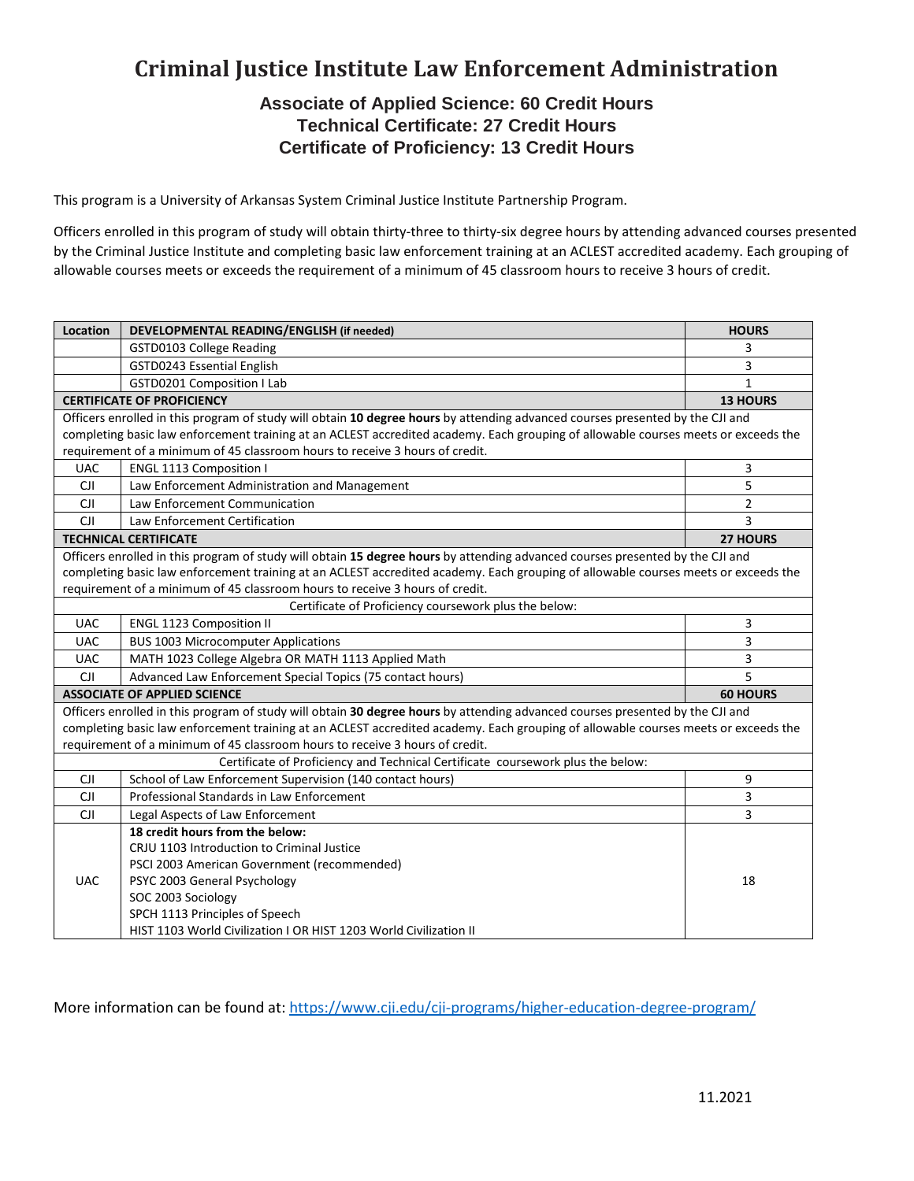# **Criminal Justice Institute Law Enforcement Administration**

### **Associate of Applied Science: 60 Credit Hours Technical Certificate: 27 Credit Hours Certificate of Proficiency: 13 Credit Hours**

This program is a University of Arkansas System Criminal Justice Institute Partnership Program.

Officers enrolled in this program of study will obtain thirty-three to thirty-six degree hours by attending advanced courses presented by the Criminal Justice Institute and completing basic law enforcement training at an ACLEST accredited academy. Each grouping of allowable courses meets or exceeds the requirement of a minimum of 45 classroom hours to receive 3 hours of credit.

| Location                                                                                                                           | DEVELOPMENTAL READING/ENGLISH (if needed)                         | <b>HOURS</b>    |
|------------------------------------------------------------------------------------------------------------------------------------|-------------------------------------------------------------------|-----------------|
|                                                                                                                                    | GSTD0103 College Reading                                          | 3               |
|                                                                                                                                    | GSTD0243 Essential English                                        | 3               |
|                                                                                                                                    | <b>GSTD0201 Composition I Lab</b>                                 | 1               |
| <b>CERTIFICATE OF PROFICIENCY</b>                                                                                                  |                                                                   | <b>13 HOURS</b> |
| Officers enrolled in this program of study will obtain 10 degree hours by attending advanced courses presented by the CJI and      |                                                                   |                 |
| completing basic law enforcement training at an ACLEST accredited academy. Each grouping of allowable courses meets or exceeds the |                                                                   |                 |
| requirement of a minimum of 45 classroom hours to receive 3 hours of credit.                                                       |                                                                   |                 |
| <b>UAC</b>                                                                                                                         | ENGL 1113 Composition I                                           | 3               |
| <b>CJI</b>                                                                                                                         | Law Enforcement Administration and Management                     | 5               |
| <b>CJI</b>                                                                                                                         | Law Enforcement Communication                                     | 2               |
| <b>CJI</b>                                                                                                                         | Law Enforcement Certification                                     | 3               |
| <b>TECHNICAL CERTIFICATE</b>                                                                                                       |                                                                   | <b>27 HOURS</b> |
| Officers enrolled in this program of study will obtain 15 degree hours by attending advanced courses presented by the CJI and      |                                                                   |                 |
| completing basic law enforcement training at an ACLEST accredited academy. Each grouping of allowable courses meets or exceeds the |                                                                   |                 |
| requirement of a minimum of 45 classroom hours to receive 3 hours of credit.                                                       |                                                                   |                 |
| Certificate of Proficiency coursework plus the below:                                                                              |                                                                   |                 |
| <b>UAC</b>                                                                                                                         | <b>ENGL 1123 Composition II</b>                                   | 3               |
| <b>UAC</b>                                                                                                                         | <b>BUS 1003 Microcomputer Applications</b>                        | 3               |
| <b>UAC</b>                                                                                                                         | MATH 1023 College Algebra OR MATH 1113 Applied Math               | 3               |
| <b>CJI</b>                                                                                                                         | Advanced Law Enforcement Special Topics (75 contact hours)        | 5               |
| <b>ASSOCIATE OF APPLIED SCIENCE</b>                                                                                                |                                                                   | <b>60 HOURS</b> |
| Officers enrolled in this program of study will obtain 30 degree hours by attending advanced courses presented by the CJI and      |                                                                   |                 |
| completing basic law enforcement training at an ACLEST accredited academy. Each grouping of allowable courses meets or exceeds the |                                                                   |                 |
| requirement of a minimum of 45 classroom hours to receive 3 hours of credit.                                                       |                                                                   |                 |
| Certificate of Proficiency and Technical Certificate coursework plus the below:                                                    |                                                                   |                 |
| <b>CJI</b>                                                                                                                         | School of Law Enforcement Supervision (140 contact hours)         | 9               |
| <b>CJI</b>                                                                                                                         | Professional Standards in Law Enforcement                         | 3               |
| <b>CJI</b>                                                                                                                         | Legal Aspects of Law Enforcement                                  | 3               |
| <b>UAC</b>                                                                                                                         | 18 credit hours from the below:                                   |                 |
|                                                                                                                                    | CRJU 1103 Introduction to Criminal Justice                        |                 |
|                                                                                                                                    | PSCI 2003 American Government (recommended)                       |                 |
|                                                                                                                                    | PSYC 2003 General Psychology                                      | 18              |
|                                                                                                                                    | SOC 2003 Sociology                                                |                 |
|                                                                                                                                    | SPCH 1113 Principles of Speech                                    |                 |
|                                                                                                                                    | HIST 1103 World Civilization I OR HIST 1203 World Civilization II |                 |

More information can be found at:<https://www.cji.edu/cji-programs/higher-education-degree-program/>